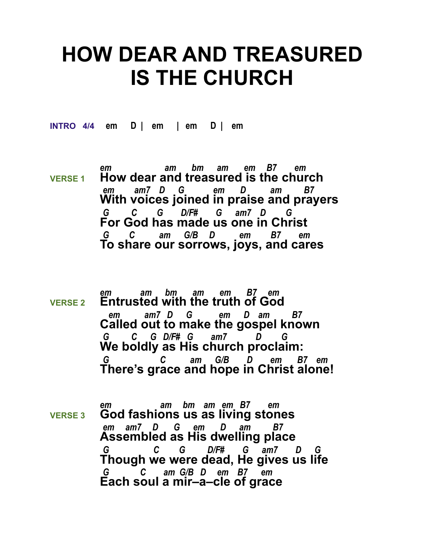## **HOW DEAR AND TREASURED IS THE CHURCH**

**INTRO 4/4 em D | em | em D | em** 

- *em am bm am em B7 em* **VERSE 1 How dear and treasured is the church**  *em am7 D G em D am B7* **With voices joined in praise and prayers** *G C G D/F# G am7 D G*  **For God has made us one in Christ** *G C am G/B D em B7 em*  **To share our sorrows, joys, and cares**
- *em am bm am em B7 em* **VERSE 2 Entrusted with the truth of God**   *em am7 D G em D am B7* **Called out to make the gospel known** *G C G D/F# G am7 D G*  **We boldly as His church proclaim:** *G C am G/B D em B7 em*  **There's grace and hope in Christ alone!**
- *em am bm am em B7 em* **VERSE 3 God fashions us as living stones**  *em am7 D G em D am B7* **Assembled as His dwelling place** *G C G D/F# G am7 D G*  **Though we were dead, He gives us life** *G C am G/B D em B7 em*  **Each soul a mir–a–cle of grace**